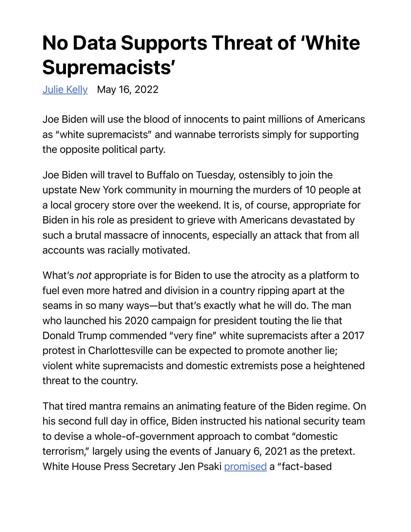## No Data Supports Threat of 'White Supremacists'

Julie Kelly May 16, 2022

Joe Biden will use the blood of innocents to paint millions of Americans as "white supremacists" and wannabe terrorists simply for supporting the opposite political party.

Joe Biden will travel to Buffalo on Tuesday, ostensibly to join the upstate New York community in mourning the murders of 10 people at a local grocery store over the weekend. It is, of course, appropriate for Biden in his role as president to grieve with Americans devastated by such a brutal massacre of innocents, especially an attack that from all accounts was racially motivated.

What's *not* appropriate is for Biden to use the atrocity as a platform to fuel even more hatred and division in a country ripping apart at the seams in so many ways—but that's exactly what he will do. The man who launched his 2020 campaign for president touting the lie that Donald Trump commended "very fine" white supremacists after a 2017 protest in Charlottesville can be expected to promote another lie; violent white supremacists and domestic extremists pose a heightened threat to the country.

That tired mantra remains an animating feature of the Biden regime. On his second full day in office, Biden instructed his national security team to devise a whole-of-government approach to combat "domestic terrorism," largely using the events of January 6, 2021 as the pretext. White House Press Secretary Jen Psaki promised a "fact-based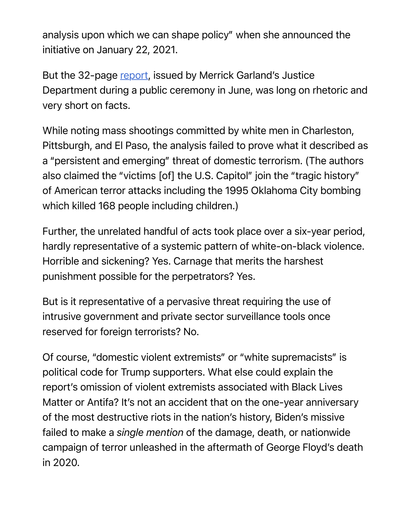analysis upon which we can shape policy" when she announced the initiative on January 22, 2021.

But the 32-page report, issued by Merrick Garland's Justice Department during a public ceremony in June, was long on rhetoric and very short on facts.

While noting mass shootings committed by white men in Charleston, Pittsburgh, and El Paso, the analysis failed to prove what it described as a "persistent and emerging" threat of domestic terrorism. (The authors also claimed the "victims [of] the U.S. Capitol" join the "tragic history" of American terror attacks including the 1995 Oklahoma City bombing which killed 168 people including children.)

Further, the unrelated handful of acts took place over a six-year period, hardly representative of a systemic pattern of white-on-black violence. Horrible and sickening? Yes. Carnage that merits the harshest punishment possible for the perpetrators? Yes.

But is it representative of a pervasive threat requiring the use of intrusive government and private sector surveillance tools once reserved for foreign terrorists? No.

Of course, "domestic violent extremists" or "white supremacists" is political code for Trump supporters. What else could explain the report's omission of violent extremists associated with Black Lives Matter or Antifa? It's not an accident that on the one-year anniversary of the most destructive riots in the nation's history, Biden's missive failed to make a *single mention* of the damage, death, or nationwide campaign of terror unleashed in the aftermath of George Floyd's death in 2020.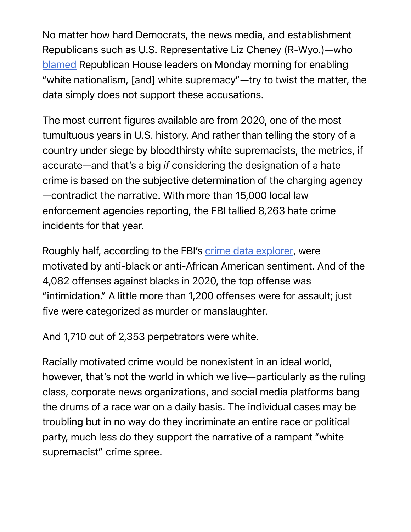No matter how hard Democrats, the news media, and establishment Republicans such as U.S. Representative Liz Cheney (R-Wyo.)—who blamed Republican House leaders on Monday morning for enabling "white nationalism, [and] white supremacy"—try to twist the matter, the data simply does not support these accusations.

The most current figures available are from 2020, one of the most tumultuous years in U.S. history. And rather than telling the story of a country under siege by bloodthirsty white supremacists, the metrics, if accurate—and that's a big *if* considering the designation of a hate crime is based on the subjective determination of the charging agency —contradict the narrative. With more than 15,000 local law enforcement agencies reporting, the FBI tallied 8,263 hate crime incidents for that year.

Roughly half, according to the FBI's crime data explorer, were motivated by anti-black or anti-African American sentiment. And of the 4,082 offenses against blacks in 2020, the top offense was "intimidation." A little more than 1,200 offenses were for assault; just five were categorized as murder or manslaughter.

And 1,710 out of 2,353 perpetrators were white.

Racially motivated crime would be nonexistent in an ideal world, however, that's not the world in which we live—particularly as the ruling class, corporate news organizations, and social media platforms bang the drums of a race war on a daily basis. The individual cases may be troubling but in no way do they incriminate an entire race or political party, much less do they support the narrative of a rampant "white supremacist" crime spree.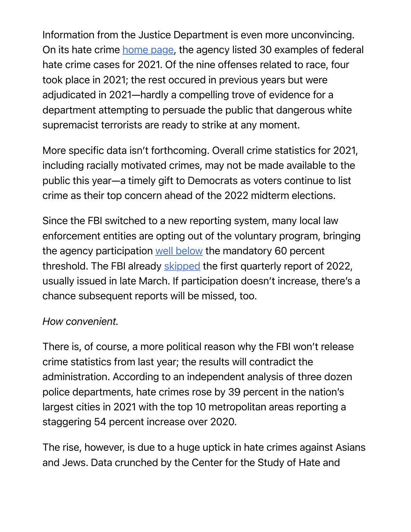Information from the Justice Department is even more unconvincing. On its hate crime home page, the agency listed 30 examples of federal hate crime cases for 2021. Of the nine offenses related to race, four took place in 2021; the rest occured in previous years but were adjudicated in 2021—hardly a compelling trove of evidence for a department attempting to persuade the public that dangerous white supremacist terrorists are ready to strike at any moment.

More specific data isn't forthcoming. Overall crime statistics for 2021, including racially motivated crimes, may not be made available to the public this year—a timely gift to Democrats as voters continue to list crime as their top concern ahead of the 2022 midterm elections.

Since the FBI switched to a new reporting system, many local law enforcement entities are opting out of the voluntary program, bringing the agency participation well below the mandatory 60 percent threshold. The FBI already skipped the first quarterly report of 2022, usually issued in late March. If participation doesn't increase, there's a chance subsequent reports will be missed, too.

## *How convenient.*

There is, of course, a more political reason why the FBI won't release crime statistics from last year; the results will contradict the administration. According to an independent analysis of three dozen police departments, hate crimes rose by 39 percent in the nation's largest cities in 2021 with the top 10 metropolitan areas reporting a staggering 54 percent increase over 2020.

The rise, however, is due to a huge uptick in hate crimes against Asians and Jews. Data crunched by the Center for the Study of Hate and